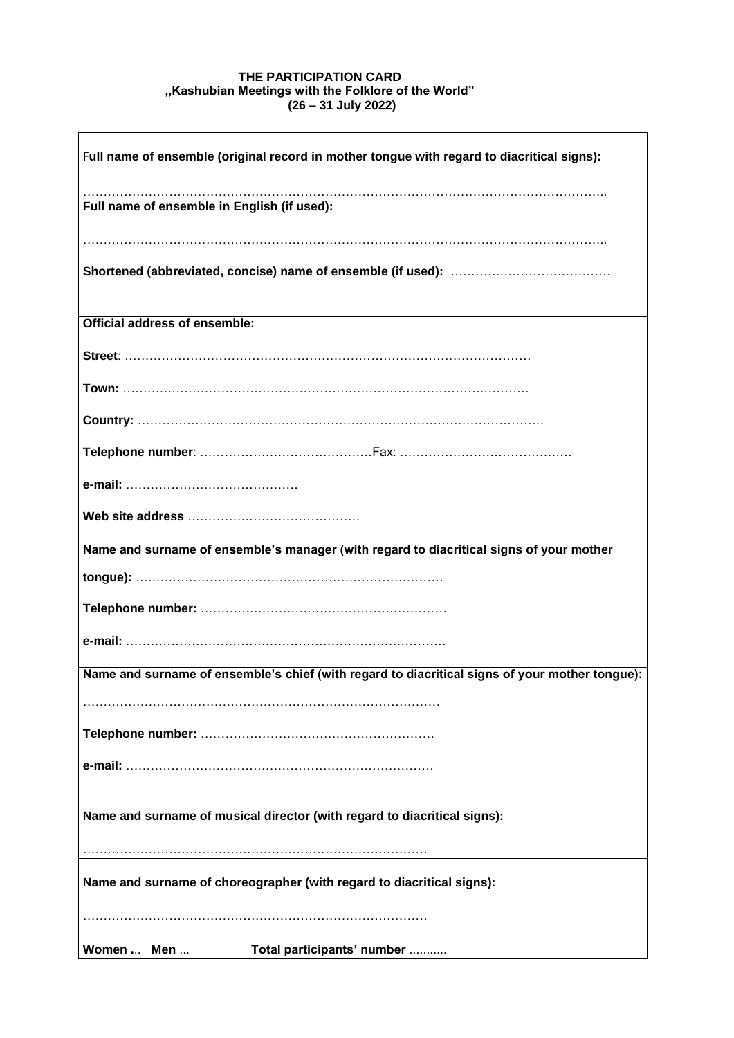## **THE PARTICIPATION CARD ,,Kashubian Meetings with the Folklore of the World" (26 – 31 July 2022)**

| Full name of ensemble (original record in mother tongue with regard to diacritical signs):     |
|------------------------------------------------------------------------------------------------|
|                                                                                                |
| Full name of ensemble in English (if used):                                                    |
|                                                                                                |
|                                                                                                |
|                                                                                                |
| <b>Official address of ensemble:</b>                                                           |
|                                                                                                |
|                                                                                                |
|                                                                                                |
|                                                                                                |
|                                                                                                |
|                                                                                                |
| Name and surname of ensemble's manager (with regard to diacritical signs of your mother        |
|                                                                                                |
|                                                                                                |
|                                                                                                |
| Name and surname of ensemble's chief (with regard to diacritical signs of your mother tongue): |
|                                                                                                |
|                                                                                                |
|                                                                                                |
|                                                                                                |
| Name and surname of musical director (with regard to diacritical signs):                       |
|                                                                                                |
| Name and surname of choreographer (with regard to diacritical signs):                          |
|                                                                                                |
|                                                                                                |